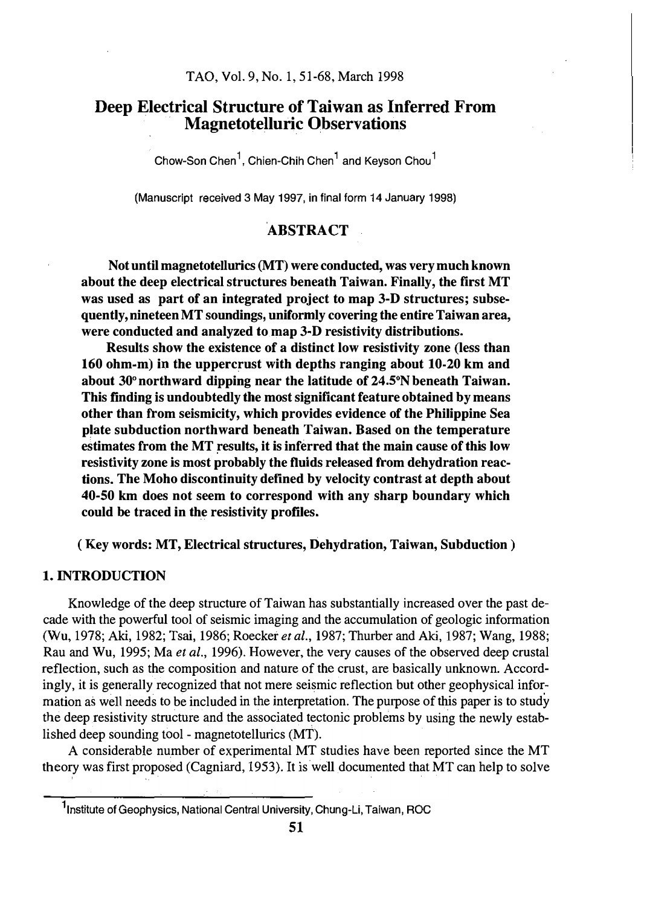# Deep Electrical Structure of Taiwan as Inferred From Magnetotelluric Observations

Chow-Son Chen<sup>1</sup>, Chien-Chih Chen<sup>1</sup> and Keyson Chou<sup>1</sup>

(Manuscript received 3 May 1997, in final form 14 January 1998)

# **ABSTRACT**

Not until magnetotellurics (MT) were conducted, was very much known about the deep electrical structures beneath Taiwan. Finally, the first MT was used as part of an integrated project to map 3-D structures; subsequently, nineteen MT soundings, uniformly covering the entire Taiwan area, were conducted and analyzed to map 3-D resistivity distributions.

Results show the existence of a distinct low resistivity zone (less than 160 ohm-m) in the uppercrust with depths ranging about  $10-20$  km and about  $30^{\circ}$  northward dipping near the latitude of 24.5 $^{\circ}$ N beneath Taiwan. This finding is undoubtedly the most significant feature obtained by means other than from seismicity, which provides evidence of the Philippine Sea plate subduction northward beneath Taiwan. Based on the temperature estimates from the MT results, it is inferred that the main cause of this low resistivity zone is most probably the fluids released from dehydration reactions. The Moho discontinuity defined by velocity contrast at depth about 40-50 km does not seem to correspond with any sharp boundary which could be traced in the resistivity profiles.

(Key words: MT, Electrical structures, Dehydration, Taiwan, Subduction)

# 1. INTRODUCTION

Knowledge of the deep structure of Taiwan has substantially increased over the past decade with the powerful tool of seismic imaging and the accumulation of geologic information (Wu, 1978; Aki, 1982; Tsai, 1986; Roecker et al., 1987; Thurber and Aki, 1987; Wang, 1988; Rau and Wu, 1995; Ma et al., 1996). However, the very causes of the observed deep crustal reflection, such as the composition and nature of the crust, are basically unknown. Accordingly, it is generally recognized that not mere seismic reflection but other geophysical information as well needs to be included in the interpretation. The purpose of this paper is to study the deep resistivity structure and the associated tectonic problems by using the newly established deep sounding fool - magnetotellurics (MT).

A considerable number of experimental MT studies have been reported since the MT theory was first proposed (Cagniard, 1953). It is well documented that MT can help to solve

<sup>&</sup>lt;sup>1</sup>Institute of Geophysics, National Central University, Chung-Li, Taiwan, ROC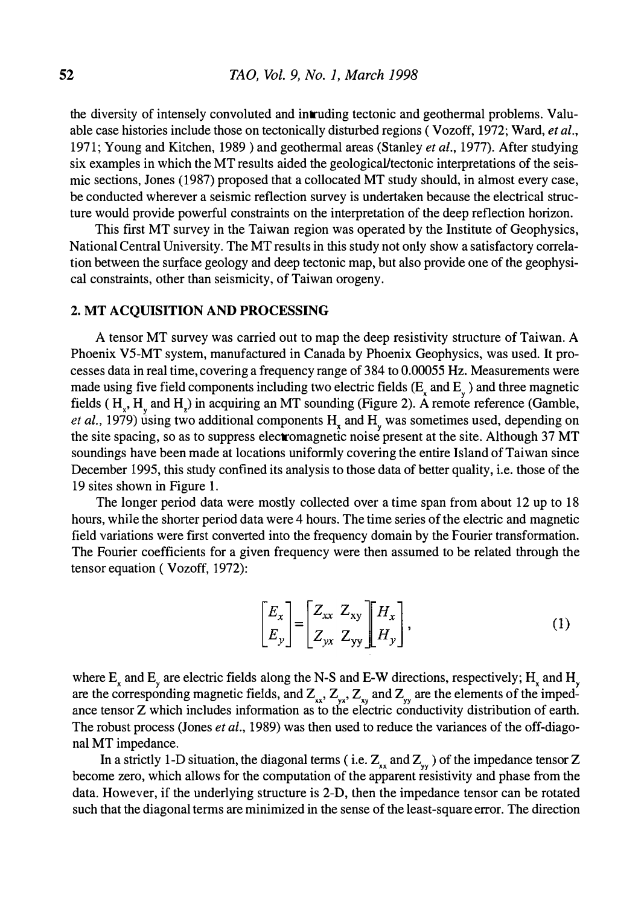the diversity of intensely convoluted and intruding tectonic and geothermal problems. Valuable case histories include those on tectonically disturbed regions (Vozoff, 1972; Ward, et al., 1971; Young and Kitchen, 1989) and geothermal areas (Stanley *et al.*, 1977). After studying six examples in which the MT results aided the geological/tectonic interpretations of the seismic sections, Jones (1987) proposed that a collocated MT study should, in almost every case, be conducted wherever a seismic reflection survey is undertaken because the electrical structure would provide powerful constraints on the interpretation of the deep reflection horizon.

This first MT survey in the Taiwan region was operated by the Institute of Geophysics, National Central University. The MT results in this study not only show a satisfactory correlation between the surface geology and deep tectonic map, but also provide one of the geophysical constraints, other than seismicity, of Taiwan orogeny.

#### 2. MT ACQUISITION AND PROCESSING

A tensor MT survey was carried out to map the deep resistivity structure of Taiwan. A Phoenix V5-MT system, manufactured in Canada by Phoenix Geophysics, was used. It processes data in real time, covering a frequency range of 384 to 0.00055 Hz. Measurements were made using five field components including two electric fields  $(E_x \text{ and } E_y)$  and three magnetic fields  $(H<sub>x</sub>, H<sub>y</sub>$  and  $H<sub>z</sub>$ ) in acquiring an MT sounding (Figure 2). A remote reference (Gamble, *et al.*, 1979) using two additional components  $H_x$  and  $H_y$  was sometimes used, depending on the site spacing, so as to suppress electromagnetic noise present at the site. Although 37 MT soundings have been made at locations uniformly covering the entire Island of Taiwan since December 1995, this study confined its analysis to those data of better quality, i.e. those of the 19 sites shown in Figure L

The longer period data were mostly collected over a time span from about 12 up to 18 hours, while the shorter period data were 4 hours. The time series of the electric and magnetic field variations were first converted into the frequency domain by the Fourier transformation. The Fourier coefficients for a given frequency were then assumed to be related through the tensor equation ( Vozoff, 1972):

$$
\begin{bmatrix} E_x \\ E_y \end{bmatrix} = \begin{bmatrix} Z_{xx} & Z_{xy} \\ Z_{yx} & Z_{yy} \end{bmatrix} \begin{bmatrix} H_x \\ H_y \end{bmatrix},\tag{1}
$$

where  $E_x$  and  $E_y$  are electric fields along the N-S and E-W directions, respectively; H<sub>x</sub> and H<sub>y</sub> are the corresponding magnetic fields, and  $Z_{xx}$ ,  $Z_{yx}$ ,  $Z_{xy}$  and  $Z_{yy}$  are the elements of the impedance tensor Z which includes information as to the electric conductivity distribution of earth. The robust process (Jones *et al.*, 1989) was then used to reduce the variances of the off-diagonal MT impedance.

In a strictly 1-D situation, the diagonal terms (i.e.  $Z_{xx}$  and  $Z_{yy}$ ) of the impedance tensor Z become zero, which allows for the computation of the apparent resistivity and phase from the data. However, if the underlying structure is 2-D, then the impedance tensor can be rotated such that the diagonal terms are minimized in the sense of the least-square error. The direction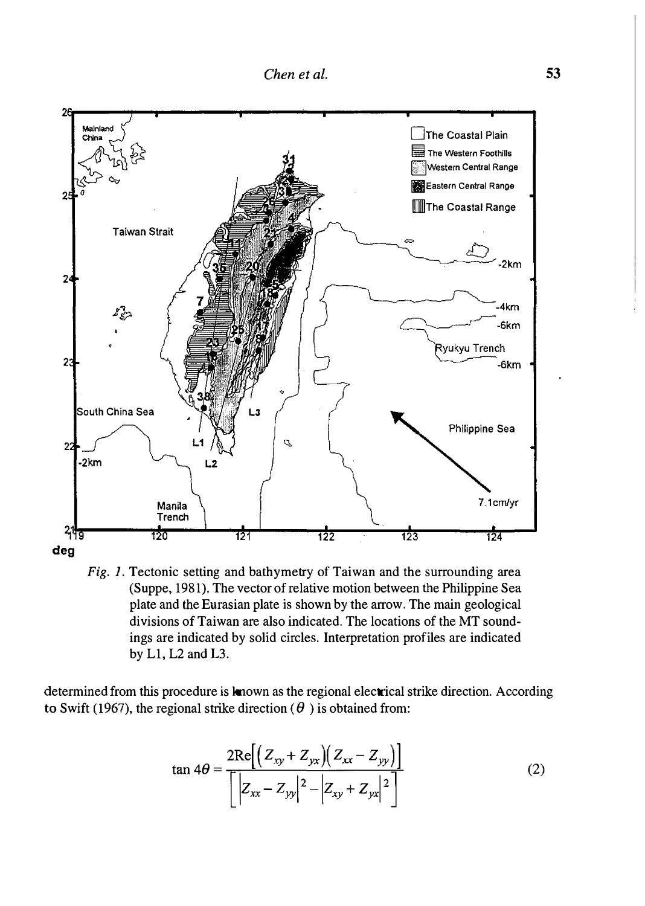

Fig. 1. Tectonic setting and bathymetry of Taiwan and the surrounding area (Suppe, 1981). The vector of relative motion between the Philippine Sea plate and the Eurasian plate is shown by the arrow. The main geological divisions of Taiwan are also indicated. The locations of the MT soundings are indicated by solid circles. Interpretation profiles are indicated by Ll, L2 and L3.

determined from this procedure is known as the regional electrical strike direction. According to Swift (1967), the regional strike direction ( $\theta$ ) is obtained from:

$$
\tan 4\theta = \frac{2\text{Re}\left[\left(Z_{xy} + Z_{yx}\right)\left(Z_{xx} - Z_{yy}\right)\right]}{\left[\left|Z_{xx} - Z_{yy}\right|^2 - \left|Z_{xy} + Z_{yx}\right|^2\right]}
$$
(2)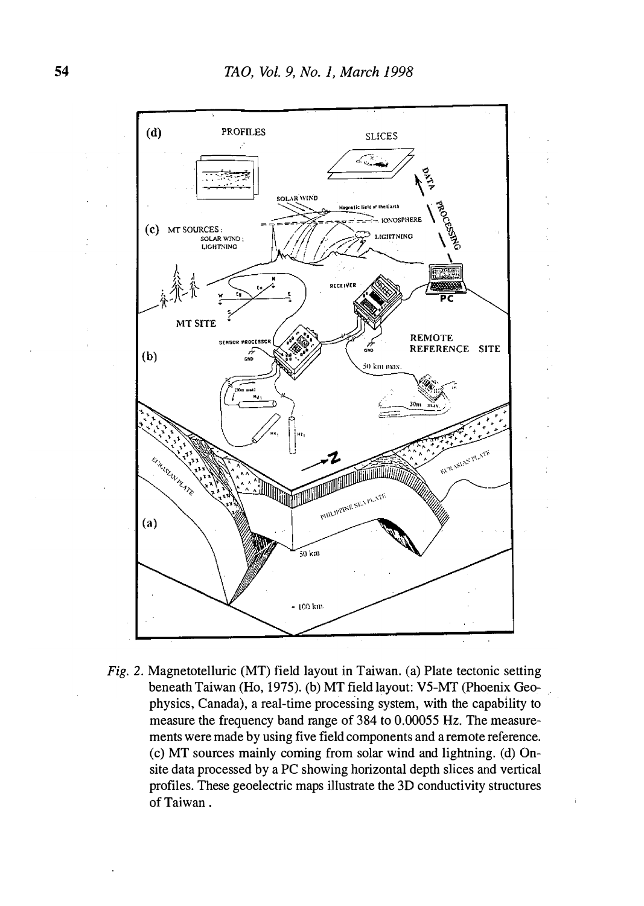

Fig. 2. Magnetotelluric (MT) field layout in Taiwan. (a) Plate tectonic setting beneath Taiwan (Ho, 1975). (b) MT field layout: V5-MT (Phoenix Geophysics, Canada), a real-time processing system, with the capability to measure the frequency band range of 384 to 0.00055 Hz. The measurements were made by using five field components and a remote reference. (c) MT sources mainly coming from solar wind and lightning. (d) Onsite data processed by a PC showing horizontal depth slices and vertical profiles. These geoelectric maps illustrate the 30 conductivity structures of Taiwan.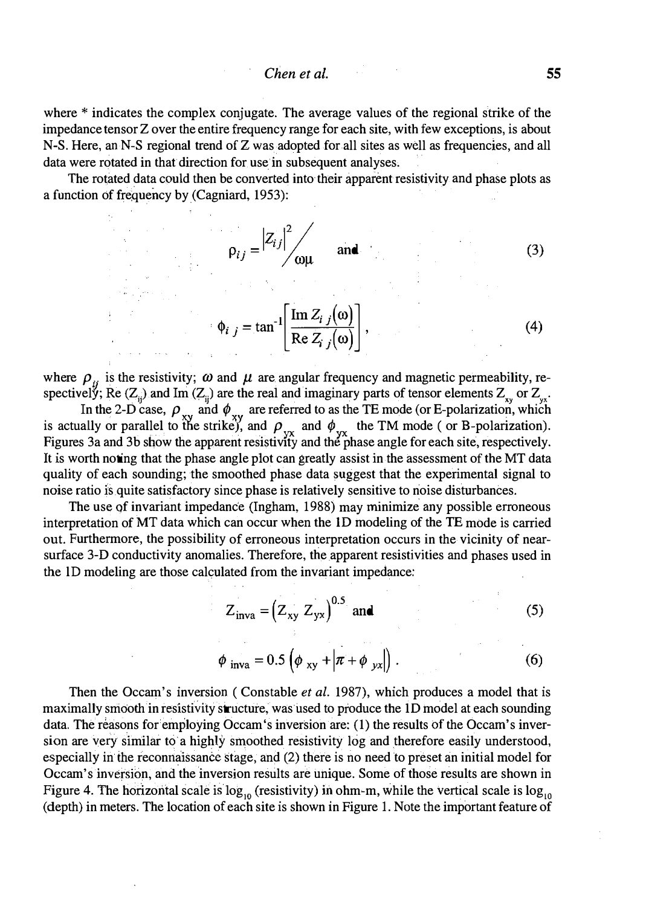where \* indicates the complex conjugate. The average values of the regional strike of the impedance tensor Z over the entire frequency range for each site, with few exceptions, is about N-S. Here, an N-S regional trend of Z was adopted for all sites as well as frequencies, and all data were rotated in that direction for use in subsequent analyses.

The rotated data could then be converted into their apparent resistivity and phase plots as a function of frequency by (Cagniard, 1953):

$$
\rho_{ij} = \left| Z_{ij} \right|^2 / \frac{1}{\omega \mu} \quad \text{and} \tag{3}
$$

$$
\phi_{i j} = \tan^{-1} \left[ \frac{\text{Im } Z_{i j}(\omega)}{\text{Re } Z_{i j}(\omega)} \right],
$$
\n(4)

where  $\rho_{ii}$  is the resistivity;  $\omega$  and  $\mu$  are angular frequency and magnetic permeability, respectively; Re  $(Z_{ij})$  and Im  $(Z_{ij})$  are the real and imaginary parts of tensor elements  $Z_{xy}$  or  $Z_{yx}$ .

In the 2-D case,  $\rho_{xy}$  and  $\phi_{xy}$  are referred to as the TE mode (or E-polarization, which is actually or parallel to the strike), and  $\rho_{yx}$  and  $\phi_{yx}$  the TM mode (or B-polarization). Figures 3a and 3b show the apparent resistivity and the phase angle for each site, respectively. It is worth noting that the phase angle plot can greatly assist in the assessment of the MT data quality of each sounding; the smoothed phase data suggest that the experimental signal to noise ratio is quite satisfactory since phase is relatively sensitive to noise disturbances.

The use of invariant impedance (Ingham, 1988) may minimize any possible erroneous interpretation of MT data which can occur when the lD modeling of the TE mode is carried out. Furthermore, the possibility of erroneous interpretation occurs in the vicinity of nearsurface 3-D conductivity anomalies. Therefore, the apparent resistivities and phases used in the lD modeling are those calculated from the invariant impedance:

$$
Z_{\text{inva}} = (Z_{xy} Z_{yx})^{0.5} \text{ and}
$$
 (5)

$$
\phi_{\text{inva}} = 0.5 \left( \phi_{\text{xy}} + \left| \pi + \phi_{\text{yx}} \right| \right). \tag{6}
$$

Then the Occam's inversion (Constable *et al.* 1987), which produces a model that is maximally smooth in resistivity structure, was used to produce the ID model at each sounding data. The reasons for employing Occam's inversion are: (1) the results of the Occam's inversion are very similar to a highly smoothed resistivity log and therefore easily understood, especially in the reconnaissance stage, and (2) there is no need to preset an initial model for Occam's inversion, and the inversion results are unique. Some of those results are shown in Figure 4. The horizontal scale is  $\log_{10}$  (resistivity) in ohm-m, while the vertical scale is  $\log_{10}$ (depth) in meters. The location of each site is shown in Figure 1. Nate the important feature of

t.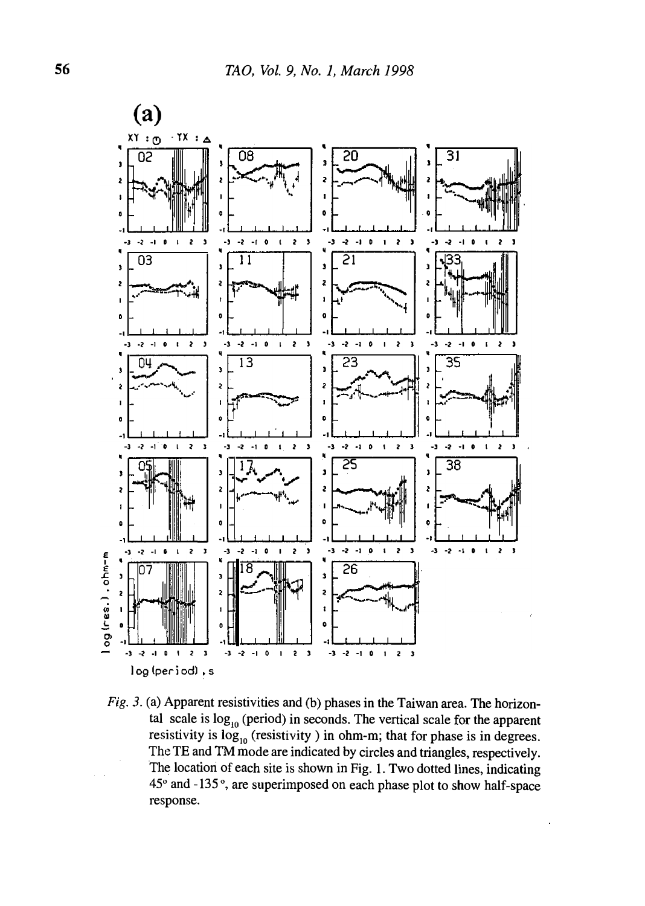

Fig. 3. (a) Apparent resistivities and (b) phases in the Taiwan area. The horizontal scale is  $log_{10}$  (period) in seconds. The vertical scale for the apparent resistivity is  $log_{10}$  (resistivity) in ohm-m; that for phase is in degrees. The TE and TM mode are indicated by circles and triangles, respectively. The location of each site is shown in Fig. 1. Two dotted lines, indicating 45° and -135°, are superimposed on each phase plot to show half-space response.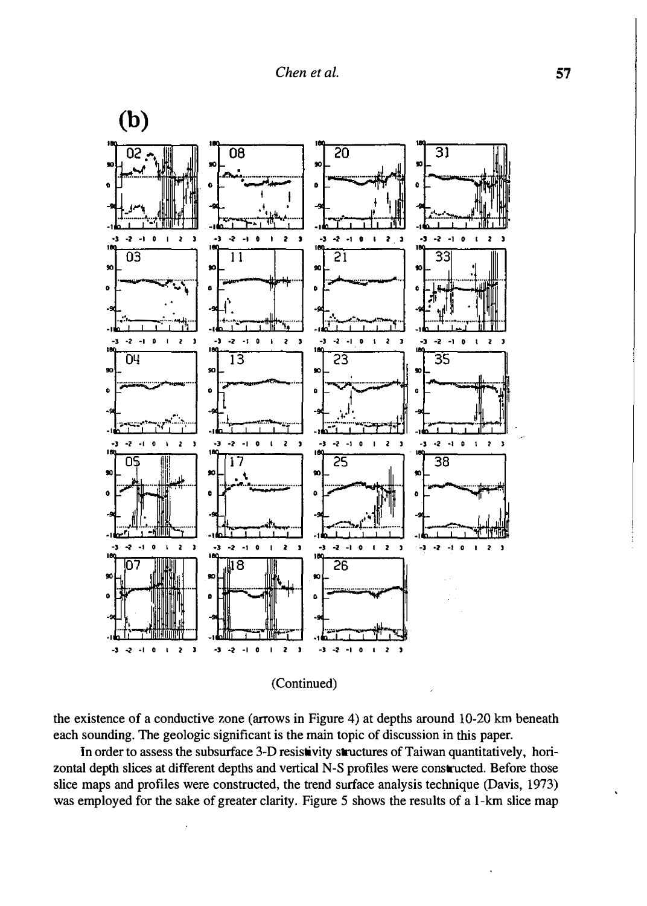

(Continued)

the existence of a conductive zone (arrows in Figure 4) at depths around 10-20 km beneath each sounding. The geologic significant is the main topic of discussion in this paper.

In order to assess the subsurface 3-D resistivity structures of Taiwan quantitatively, horizontal depth slices at different depths and vertical N-S profiles were constructed. Before those slice maps and profiles were constructed, the trend surface analysis technique (Davis, 1973) was employed for the sake of greater clarity. Figure 5 shows the results of a 1-km slice map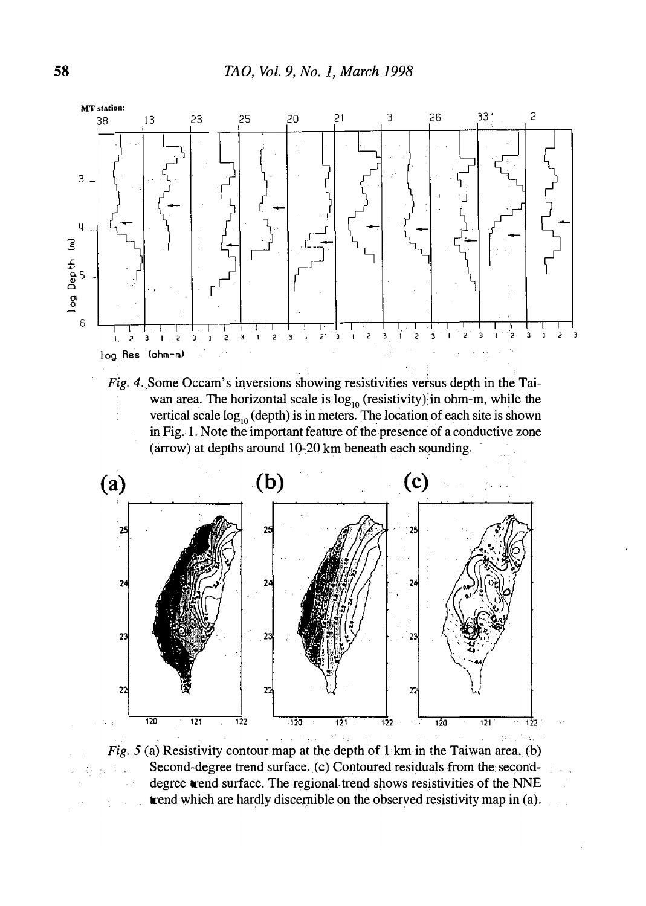

Fig. 4. Some Occam's inversions showing resistivities versus depth in the Taiwan area. The horizontal scale is  $log_{10}$  (resistivity); in ohm-m, while the vertical scale  $log_{10}$  (depth) is in meters. The location of each site is shown in Fig. 1. Note the important feature of the presence of a conductive zone (arrow) at depths around 10-20 km beneath each sounding.



Fig. 5 (a) Resistivity contour map at the depth of  $1$  km in the Taiwan area. (b) Second-degree trend surface. (c) Contoured residuals from the seconddegree trend surface. The regional trend shows resistivities of the NNE trend which are hardly discernible on the observed resistivity map in (a).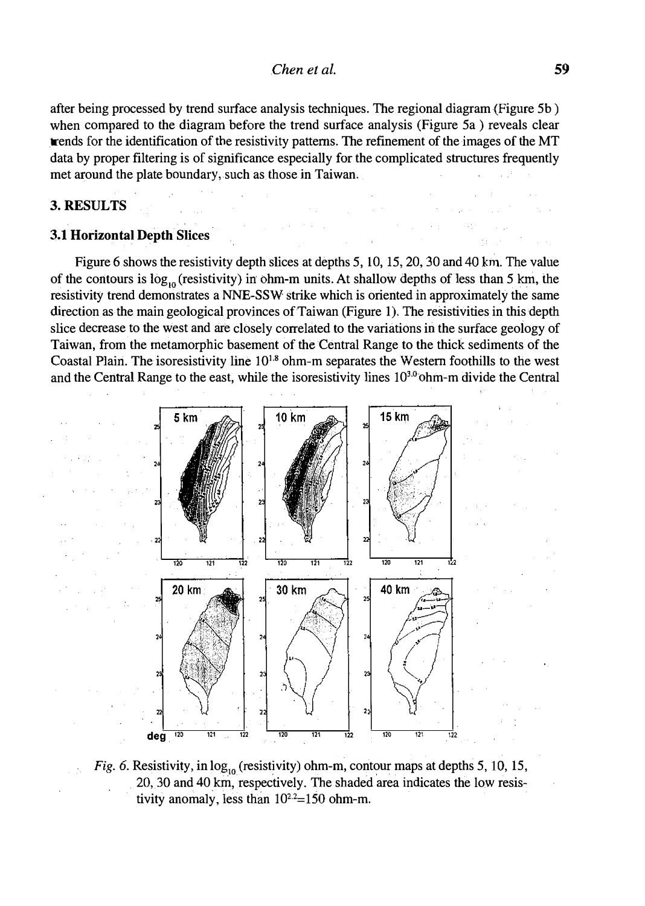after being processed by trend surface analysis techniques. The regional diagram (Figure 5b) when compared to the diagram before the trend surface analysis (Figure Sa) reveals clear trends for the identification of the resistivity patterns. The refinement of the images of the MT data by proper filtering is of significance especially for the complicated structures frequently met around the plate boundary, such as those in Taiwan.

# 3.RESULTS

# 3.1 Horizontal Depth Slices

Figure 6 shows the resistivity depth slices at depths 5, 10, 15, 20, 30 and 40 km. The value of the contours is  $\log_{10}$  (resistivity) in ohm-m units. At shallow depths of less than 5 km, the resistivity trend demonstrates a NNE-SSW strike which is oriented in approximately the same direction as the main geological provinces of Taiwan (Figure 1). The resistivities in this depth slice decrease to the west and are closely correlated to the variations in the surlace geology of Taiwan, from the metamorphic basement of the Central Range to the thick sediments of the Coastal Plairi. The isoresistivity line 101.8 ohm-m separates the Western foothills to the west and the Central Range to the east, while the isoresistivity lines 10<sup>3,0</sup> ohm-m divide the Central



Fig. 6. Resistivity, in  $log_{10}$  (resistivity) ohm-m, contour maps at depths 5, 10, 15, . 20, 30 and 40 km, respectively. The shaded area indicates the low resistivity anomaly, less than  $10^{2.2}$ =150 ohm-m.

a series de la

 $\mathcal{A}=\{1,2,\ldots,2n\}$  .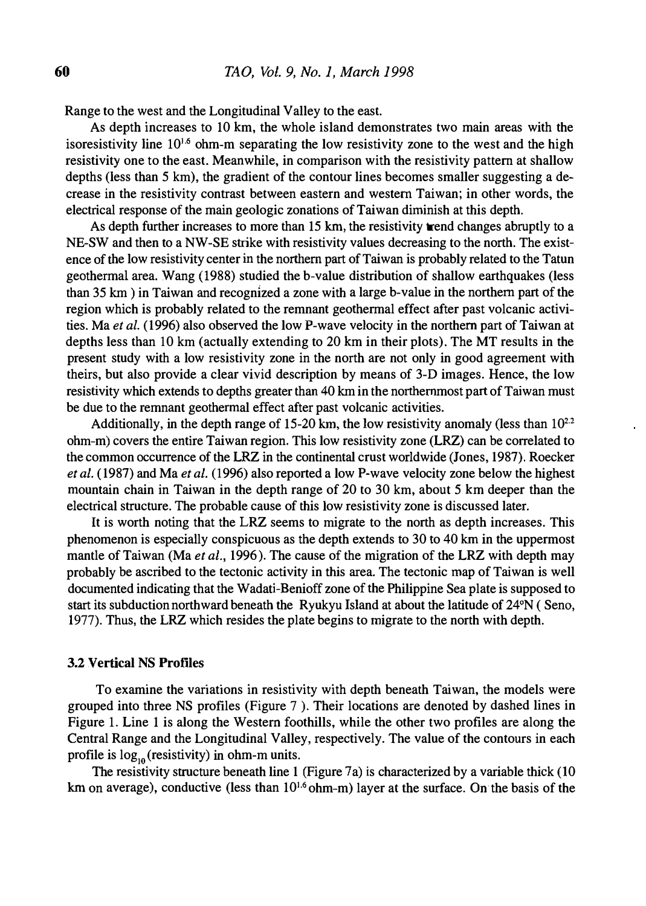Range to the west and the Longitudinal Valley to the east.

As depth increases to 10 km, the whole island demonstrates two main areas with the isoresistivity line  $10^{1.6}$  ohm-m separating the low resistivity zone to the west and the high resistivity one to the east. Meanwhile, in comparison with the resistivity pattern at shallow depths (less than 5 km), the gradient of the contour lines becomes smaller suggesting a decrease in the resistivity contrast between eastern and western Taiwan; in other words, the electrical response of the main geologic zonations of Taiwan diminish at this depth.

As depth further increases to more than 15 km, the resistivity trend changes abruptly to a NE-SW and then to a NW-SE strike with resistivity values decreasing to the north. The existence of the low resistivity center in the northern part of Taiwan is probably related to the Tatun geothermal area. Wang (1988) studied the b-value distribution of shallow earthquakes (less than 35 km) in Taiwan and recognized a zone with a large b-value in the northern part of the region which is probably related to the remnant geothermal effect after past volcanic activities. Ma et al. (1996) also observed the low P-wave velocity in the northern part of Taiwan at depths less than 10 km (actually extending to 20 km in their plots). The MT results in the present study with a low resistivity zone in the north are not only in good agreement with theirs, but also provide a clear vivid description by means of 3-D images. Hence, the low resistivity which extends to depths greater than 40 km in the northernmost part of Taiwan must be due to the remnant geothermal effect after past volcanic activities.

Additionally, in the depth range of 15-20 km, the low resistivity anomaly (less than  $10^{2.2}$ ) ohm-m) covers the entire Taiwan region. This low resistivity zone (LRZ) can be correlated to the common occurrence of the LRZ in the continental crust worldwide (Jones, 1987). Roecker et al. (1987) and Ma et al. (1996) also reported a low P-wave velocity zone below the highest mountain chain in Taiwan in the depth range of 20 to 30 km, about 5 km deeper than the electrical structure. The probable cause of this low resistivity zone is discussed later.

It is worth noting that the LRZ seems to migrate to the north as depth increases. This phenomenon is especially conspicuous as the depth extends to 30 to 40 km in the uppermost mantle of Taiwan (Ma et al., 1996). The cause of the migration of the LRZ with depth may probably be ascribed to the tectonic activity in this area. The tectonic map of Taiwan is well documented indicating that the Wadati-Benioff zone of the Philippine Sea plate is supposed to start its subduction northward beneath the Ryukyu Island at about the latitude of 24°N ( Sena, 1977). Thus, the LRZ which resides the plate begins to migrate to the north with depth.

#### 3.2 Vertical NS Profiles

To examine the variations in resistivity with depth beneath Taiwan, the models were grouped into three NS profiles (Figure 7 ). Their locations are denoted by dashed lines in Figure 1. Line 1 is along the Western foothills, while the other two profiles are along the Central Range and the Longitudinal Valley, respectively. The value of the contours in each profile is  $log_{10}$  (resistivity) in ohm-m units.

The resistivity structure beneath line  $1$  (Figure 7a) is characterized by a variable thick (10 km on average), conductive (less than  $10^{1.6}$  ohm-m) layer at the surface. On the basis of the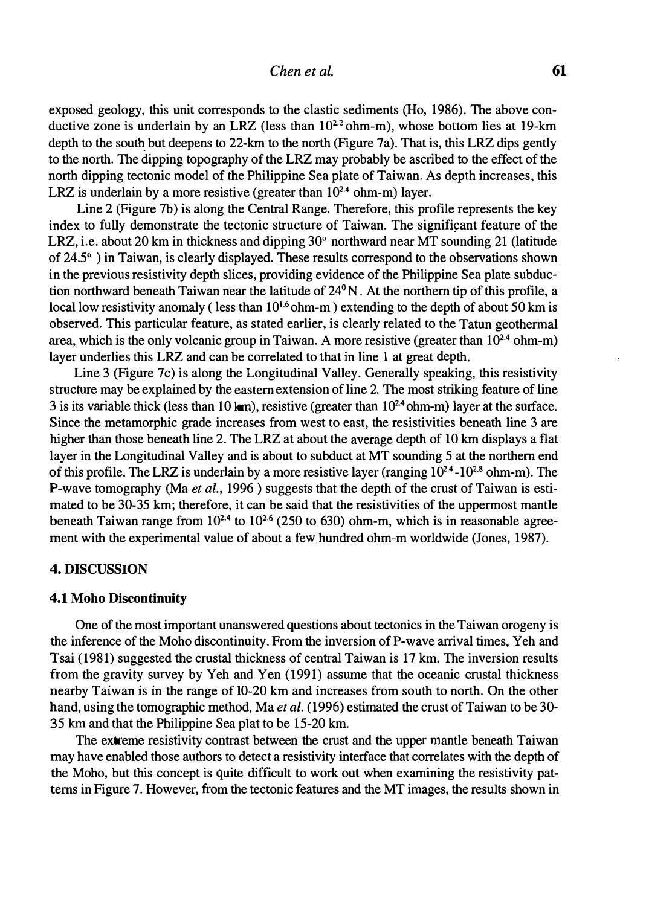exposed geology, this unit corresponds to the elastic sediments (Ho, 1986). The above conductive zone is underlain by an LRZ (less than  $10^{2.2}$  ohm-m), whose bottom lies at 19-km depth to the south but deepens to 22-km to the north (Figure 7a). That is, this LRZ dips gently to the north. The dipping topography of the LRZ may probably be ascribed to the effect of the north dipping tectonic model of the Philippine Sea plate of Taiwan. As depth increases, this LRZ is underlain by a more resistive (greater than  $10^{2.4}$  ohm-m) layer.

Line 2 (Figure 7b) is along the Central Range. Therefore, this profile represents the key index to fully demonstrate the tectonic structure of Taiwan. The significant feature of the LRZ, i.e. about 20 km in thickness and dipping 30° northward near MT sounding 21 (latitude of 24.5° ) in Taiwan, is clearly displayed. These results correspond to the observations shown in the previous resistivity depth slices, providing evidence of the Philippine Sea plate subduction northward beneath Taiwan near the latitude of 24°N. At the northern tip of this profile, a local low resistivity anomaly (less than  $10^{1.6}$  ohm-m) extending to the depth of about 50 km is observed. This particular feature, as stated earlier, is clearly related to the Tatun geothermal area, which is the only volcanic group in Taiwan. A more resistive (greater than  $10^{24}$  ohm-m) layer underlies this LRZ and can be correlated to that in line 1 at great depth.

Line 3 (Figure 7c) is along the Longitudinal Valley. Generally speaking, this resistivity structure may be explained by the eastern extension of line 2. The most striking feature of line 3 is its variable thick (less than 10 km), resistive (greater than  $10^{24}$  ohm-m) layer at the surface. Since the metamorphic grade increases from west to east, the resistivities beneath line 3 are higher than those beneath line 2. The LRZ at about the average depth of 10 km displays a flat layer in the Longitudinal Valley and is about to subduct at MT sounding 5 at the northern end of this profile. The LRZ is underlain by a more resistive layer (ranging  $10^{2.4}$ - $10^{2.8}$  ohm-m). The P-wave tomography (Ma et al., 1996) suggests that the depth of the crust of Taiwan is estimated to be 30-35 km; therefore, it can be said that the resistivities of the uppermost mantle beneath Taiwan range from  $10^{2.4}$  to  $10^{2.6}$  (250 to 630) ohm-m, which is in reasonable agreement with the experimental value of about a few hundred ohm-m worldwide (Jones, 1987).

#### 4. DISCUSSION

#### 4.1 Moho Discontinuity

One of the most important unanswered questions about tectonics in the Taiwan orogeny is the inference of the Moho discontinuity. From the inversion of P-wave arrival times, Yeh and Tsai (1981) suggested the crustal thickness of central Taiwan is 17 km. The inversion results from the gravity survey by Yeh and Yen (1991) assume that the oceanic crustal thickness nearby Taiwan is in the range of 10-20 km and increases from south to north. On the other hand, using the tomographic method, Ma et al. (1996) estimated the crust of Taiwan to be 30-35 km and that the Philippine Sea plat to be 15-20 km.

The extreme resistivity contrast between the crust and the upper mantle beneath Taiwan may have enabled those authors to detect a resistivity interface that correlates with the depth of the Moho, but this concept is quite difficult to work out when examining the resistivity patterns in Figure 7. However, from the tectonic features and the MT images, the results shown in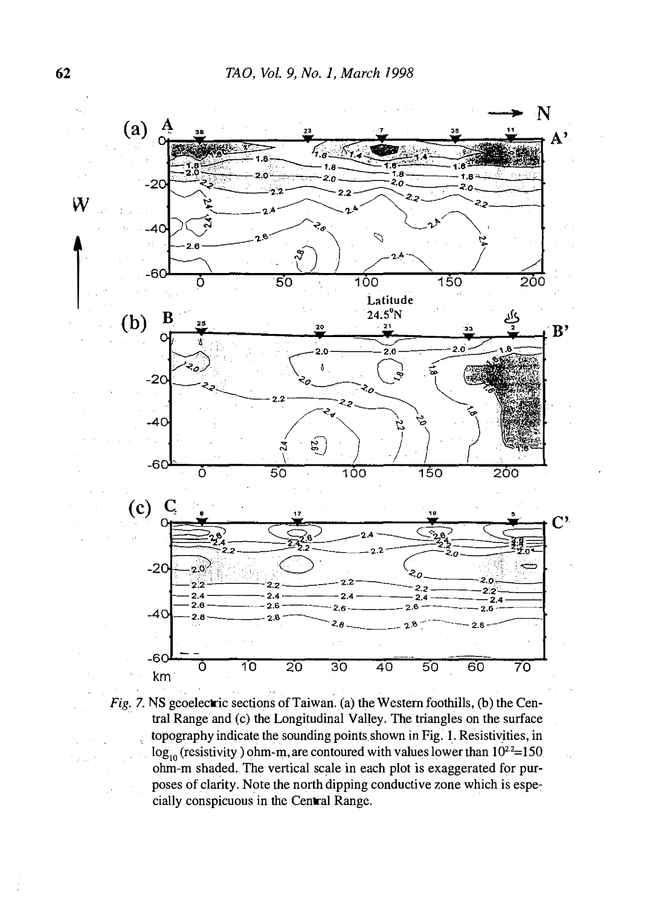

Fig. 7. NS geoelectric sections of Taiwan. (a) the Western foothills, (b) the Central Range and (c) the Longitudinal Valley. The triangles on the surface topography indicate the sounding points shown in Fig. 1. Resistiyities, in  $\log_{10}$  (resistivity) ohm-m, are contoured with values lower than  $10^{22}$ =150 ohm-m shaded. The vertical scale in each plot is exaggerated for purposes of clarity. Note the north dipping conductive zone which is espe: cially conspicuous in the Central Range.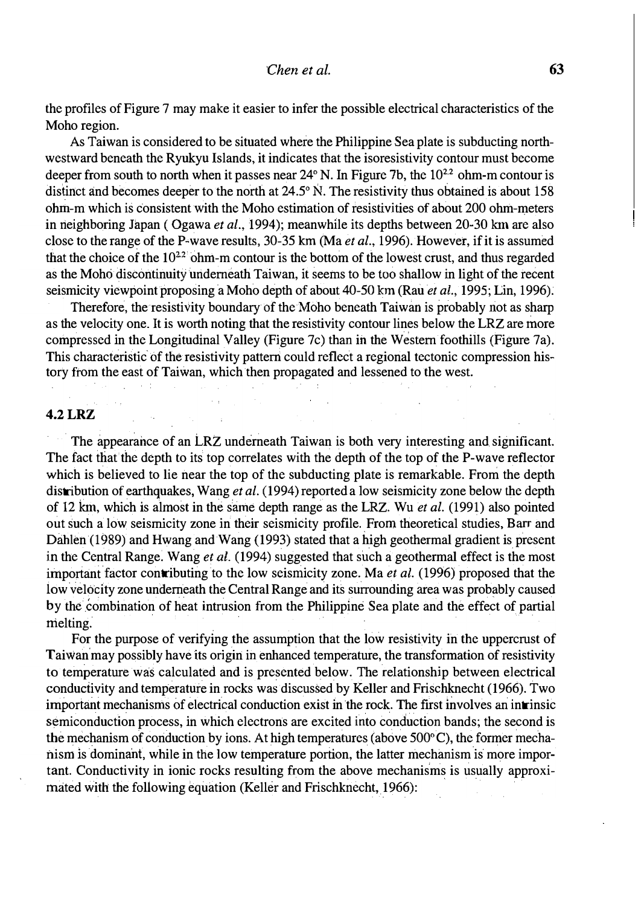the profiles of Figure 7 may make it easier to infer the possible electrical characteristics of the Moho region.

As Taiwan is considered to be situated where the Philippine Sea plate is subducting northwestward beneath the Ryukyu Islands, it indicates that the isoresistivity contour must become deeper from south to north when it passes near  $24^{\circ}$  N. In Figure 7b, the  $10^{22}$  ohm-m contour is distinct and becomes deeper to the north at  $24.5^{\circ}$  N. The resistivity thus obtained is about 158 ohm-m which is consistent with the Moho estimation of resistivities of about 200 ohm-meters in neighboring Japan (Ogawa et al., 1994); meanwhile its depths between  $20-30$  km are also close to the range of the P-wave results, 30-35 km (Ma *et al.*, 1996). However, if it is assumed that the choice of the  $10^{22}$  ohm-m contour is the bottom of the lowest crust, and thus regarded as the Mohci discontinuity uriderneath Taiwan, it seems to be too shallow in light of the recent seismicity viewpoint proposing a Moho depth of about  $40-50$  km (Rau *et al.*, 1995; Lin, 1996).

Therefore, the resistivity boundary of the Moho beneath Taiwan is probably not as sharp as the velocity one. It is worth noting that the resistivity contour lines below the LRZ are more compressed in the Longitudinal Valley (Figure 7c) than in the Western foothills (Figure 7a). This characteristic of the resistivity pattern could reflect a regional tectonic compression history from the east of Taiwan, which then propagated and lessened to the west.

# 4.2 LRZ

The appearance of an LRZ underneath Taiwan is both very interesting and significant. The fact that the depth to its top correlates with the depth of the top of the P-wave reflector which is believed to lie near the top of the subducting plate is remarkable. From the depth distribution of earthquakes, Wang *et al.* (1994) reported a low seismicity zone below the depth of 12 km, which is almost in the same depth range as the LRZ. Wu et al. (1991) also pointed out such a low seismicity zone in their seismicity profile. From theoretical studies, Barr and Dahlen (1989) and Hwang and Wang (1993) stated that a high geothermal gradient is present in the Central Range. Wang *et al.* (1994) suggested that such a geothermal effect is the most important factor contributing to the low seismicity zone. Ma et al. (1996) proposed that the low velocity zone underneath the Central Range and its surrounding area was probably caused by the combination of heat intrusion from the Philippine Sea plate and the effect of partial melting.

For the purpose of verifying the assumption that the low resistivity in the uppercrust of Taiwan may possibly have its origin in enhanced temperature, the transformation of resistivity to temperature was calculated and is presented below. The relationship between electrical conductivity and temperature in rocks was discussed by Keller and Frischknecht (1966). Two important mechanisms of electrical conduction exist in the rock. The first involves an intrinsic semiconduction process, in which electrons are excited into conduction bands; the second is the mechanism of conduction by ions. At high temperatures (above  $500^{\circ}$ C), the former mechanism is dominant, while in the low temperature portion, the latter mechanism is more important. Conductivity in ionic rocks resulting from the above mechanisms is usually approximated with the following equation (Keller and Frischknecht, 1966):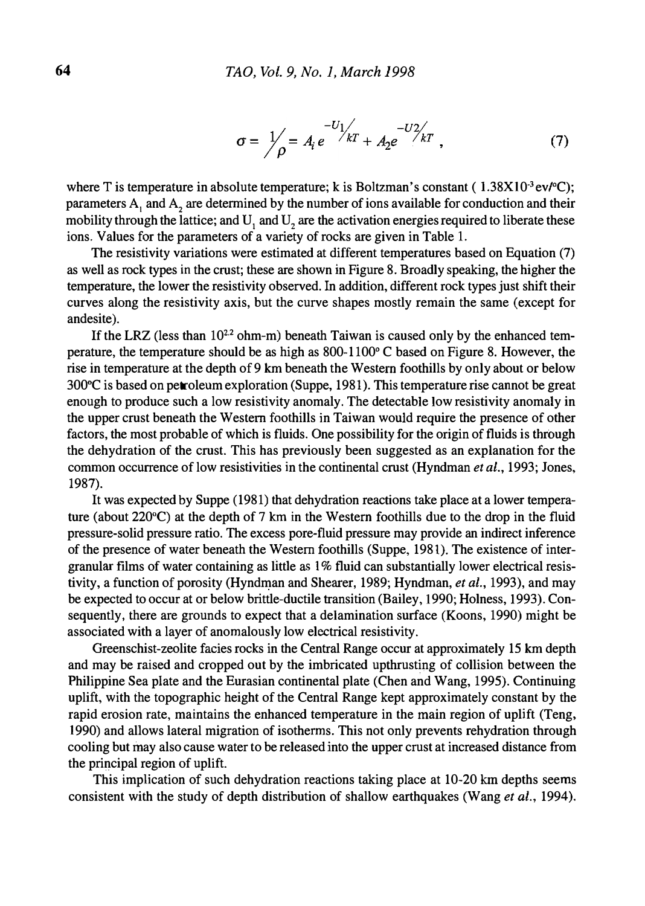$$
\sigma = \frac{1}{\rho} = A_i e^{-U_1 / kT} + A_2 e^{-U_2 / kT} , \qquad (7)
$$

where T is temperature in absolute temperature; k is Boltzman's constant ( $1.38X10^3$  ev/ $^{\circ}$ C); parameters  $A_1$  and  $A_2$  are determined by the number of ions available for conduction and their mobility through the lattice; and U<sub>1</sub> and U<sub>2</sub> are the activation energies required to liberate these ions. Values for the parameters of a variety of rocks are given in Table I.

The resistivity variations were estimated at different temperatures based on Equation (7) as well as rock types in the crust; these are shown in Figure 8. Broadly speaking, the higher the temperature, the lower the resistivity observed. In addition, different rock types just shift their curves along the resistivity axis, but the curve shapes mostly remain the same (except for andesite).

If the LRZ (less than  $10^{2.2}$  ohm-m) beneath Taiwan is caused only by the enhanced temperature, the temperature should be as high as 800-1 100° C based on Figure 8. However, the rise in temperature at the depth of 9 km beneath the Western foothills by only about or below 300°C is based on petroleum exploration (Suppe, 1981). This temperature rise cannot be great enough to produce such a low resistivity anomaly. The detectable low resistivity anomaly in the upper crust beneath the Western foothills in Taiwan would require the presence of other factors, the most probable of which is fluids. One possibility for the origin of fluids is through the dehydration of the crust. This has previously been suggested as an explanation for the common occurrence of low resistivities in the continental crust (Hyndman et al., 1993; Jones, 1987).

It was expected by Suppe (1981) that dehydration reactions take place at a lower temperature (about 220°C) at the depth of 7 km in the Western foothills due to the drop in the fluid pressure-solid pressure ratio. The excess pore-fluid pressure may provide an indirect inference of the presence of water beneath the Western foothills (Suppe, 1981). The existence of intergranular films of water containing as little as  $1\%$  fluid can substantially lower electrical resistivity, a function of porosity (Hyndman and Shearer, 1989; Hyndman, et al., 1993), and may be expected to occur at or below brittle-ductile transition (Bailey, 1990; Holness, 1993). Consequently, there are grounds to expect that a delamination surface (Koons, 1990) might be associated with a layer of anomalously low electrical resistivity.

Greenschist-zeolite fades rocks in the Central Range occur at approximately 15 km depth and may be raised and cropped out by the imbricated upthrusting of collision between the Philippine Sea plate and the Eurasian continental plate (Chen and Wang, 1995). Continuing uplift, with the topographic height of the Central Range kept approximately constant by the rapid erosion rate, maintains the enhanced temperature in the main region of uplift (Teng, 1990) and allows lateral migration of isotherms. This not only prevents rehydration through cooling but may also cause water to be released into the upper crust at increased distance from the principal region of uplift.

This implication of such dehydration reactions taking place at 10-20 km depths seems consistent with the study of depth distribution of shallow earthquakes (Wang et al., 1994).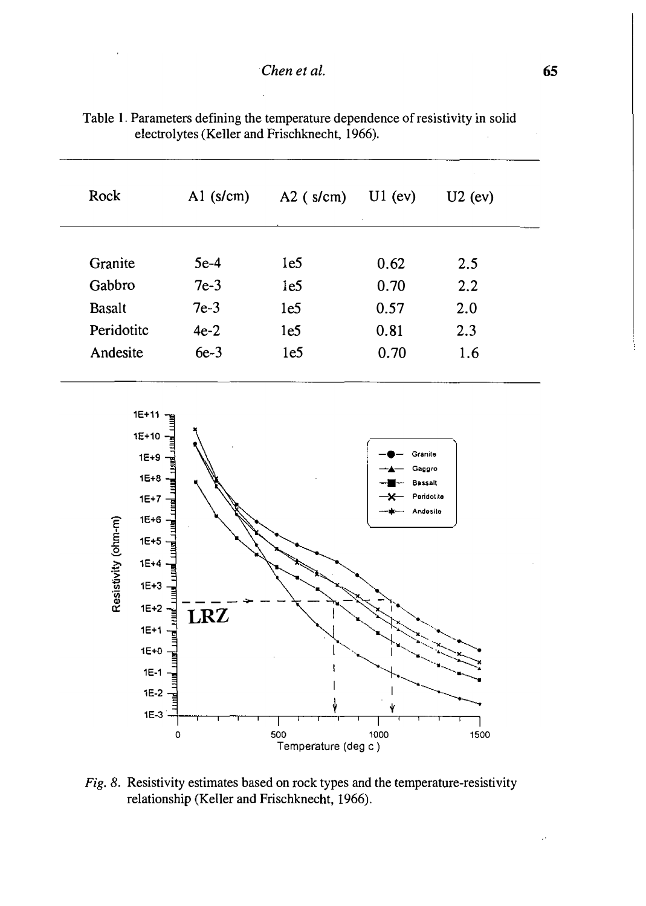| Rock          | $A1$ (s/cm) | $A2$ (s/cm)     | $U1$ (ev) | $U2$ (ev) |
|---------------|-------------|-----------------|-----------|-----------|
| Granite       | $5e-4$      | 1e <sub>5</sub> | 0.62      | 2.5       |
| Gabbro        | $7e-3$      | 1e <sub>5</sub> | 0.70      | 2.2       |
| <b>Basalt</b> | $7e-3$      | 1e <sub>5</sub> | 0.57      | 2.0       |
| Peridotitc    | $4e-2$      | 1e <sub>5</sub> | 0.81      | 2.3       |
| Andesite      | $6e-3$      | 1e <sub>5</sub> | 0.70      | 1.6       |

Table 1. Parameters defining the temperature dependence of resistivity in solid electrolytes (Keller and Frischknecht, 1966).



Fig. 8. Resistivity estimates based on rock types and the temperature-resistivity relationship (Keller and Frischknecht, 1966).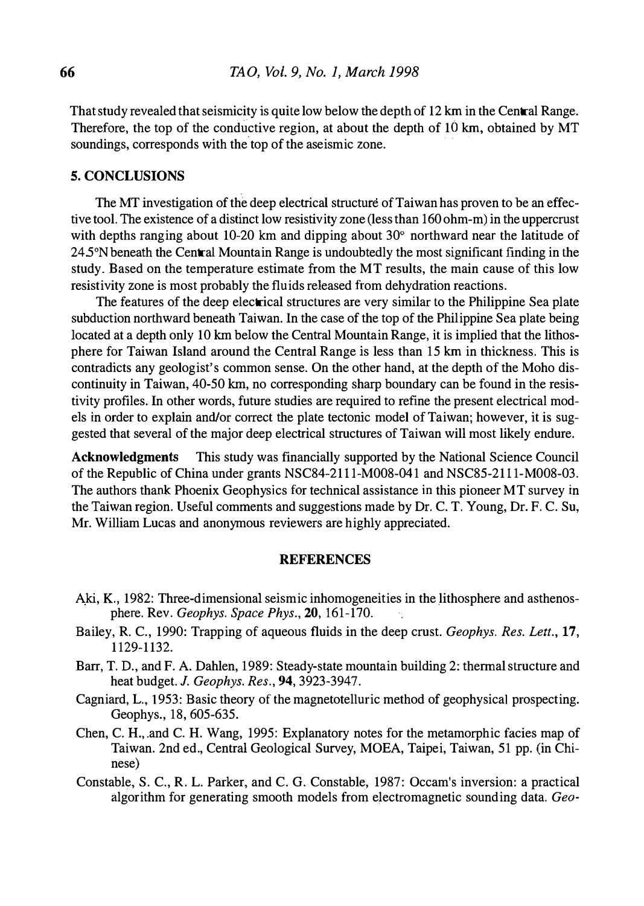That study revealed that seismicity is quite low below the depth of 12 km in the Central Range. Therefore, the top of the conductive region, at about the depth of 10 km, obtained by MT soundings, corresponds with the top of the aseismic zone.

### 5. CONCLUSIONS

The MT investigation of the deep electrical structure of Taiwan has proven to be an effective tool. The existence of a distinct low resistivity zone (less than 160 ohm-m) in the uppercrust with depths ranging about 10-20 km and dipping about  $30^{\circ}$  northward near the latitude of 24.5°N beneath the Central Mountain Range is undoubtedly the most significant finding in the study. Based on the temperature estimate from the MT results, the main cause of this low resistivity zone is most probably the fluids released from dehydration reactions.

The features of the deep electrical structures are very similar to the Philippine Sea plate subduction northward beneath Taiwan. In the case of the top of the Philippine Sea plate being located at a depth only 10 km below the Central Mountain Range, it is implied that the lithosphere for Taiwan Island around the Central Range is less than 15 km in thickness. This is contradicts any geologist's common sense. On the other hand, at the depth of the Moho discontinuity in Taiwan, 40-50 km, no corresponding sharp boundary can be found in the resistivity profiles. In other words, future studies are required to refine the present electrical models in order to explain and/or correct the plate tectonic model of Taiwan; however, it is suggested that several of the major deep electrical structures of Taiwan will most likely endure.

Acknowledgments This study was financially supported by the National Science Council of the Republic of China under grants NSC84-21l1-M008-041 and NSC85-2111-M008-03. The authors thank Phoenix Geophysics for technical assistance in this pioneer MT survey in the Taiwan region. Useful comments and suggestions made by Dr. C. T. Young, Dr. F. C. Su, Mr. William Lucas and anonymous reviewers are highly appreciated.

### **REFERENCES**

- Aki, K., 1982: Three-dimensional seismic inhomogeneities in the lithosphere and asthenosphere. Rev. Geophys. Space Phys., 20, 161-170.
- Bailey, R. C., 1990: Trapping of aqueous fluids in the deep crust. Geophys. Res. Lett., 17, 1129-1132.
- Barr, T. D., and F. A. Dahlen, 1989: Steady-state mountain building 2: thermal structure and heat budget. J. Geophys. Res., 94, 3923-3947.
- Cagniard, L., 1953: Basic theory of the magnetotelluric method of geophysical prospecting. Geophys. , 18, 605-635.
- Chen, C.H. , and C.H. Wang, 1995: Explanatory notes for the metamorphic facies map of Taiwan. 2nd ed., Central Geological Survey, MOEA, Taipei, Taiwan, 51 pp. (in Chinese)
- Constable, S. C. , R. L. Parker, and C. G. Constable, 1987: Occam's inversion: a practical algorithm for generating smooth models from electromagnetic sounding data. Geo-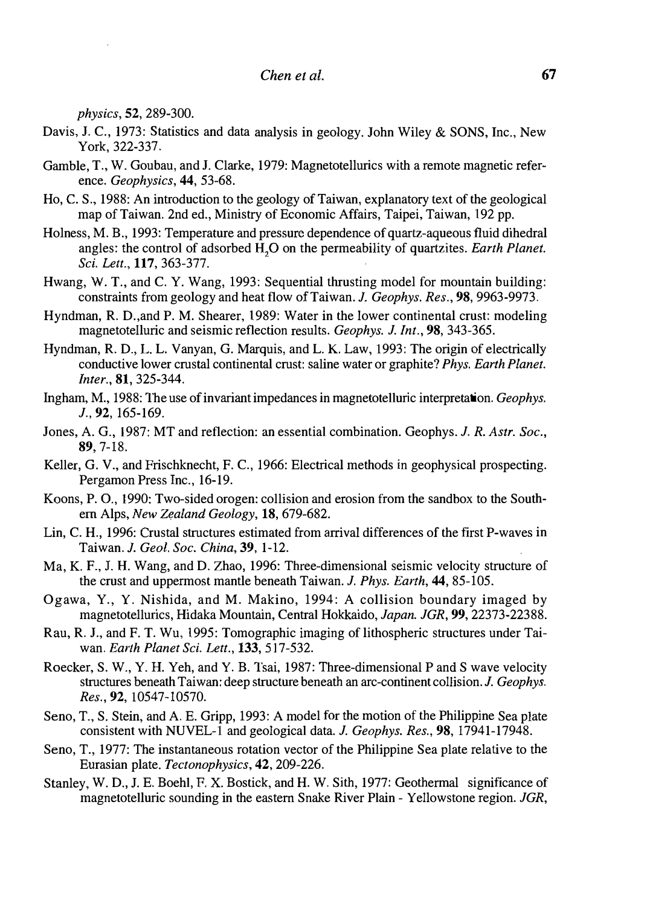physics, 52, 289-300.

- Davis, J.C., 1973: Statistics and data analysis in geology. John Wiley & SONS, Inc., New York, 322-337.
- Gamble, T., W. Goubau, and J. Clarke, 1979: Magnetotellurics with a remote magnetic reference. Geophysics, 44, 53-68.
- Ho, C. S., 1988: An introduction to the geology of Taiwan, explanatory text of the geological map of Taiwan. 2nd ed., Ministry of Economic Affairs, Taipei, Taiwan, 192 pp.
- Holness, M. B., 1993: Temperature and pressure dependence of quartz-aqueous fluid dihedral angles: the control of adsorbed  $\hat{H}_1O$  on the permeability of quartzites. Earth Planet. Sci. Lett., 117, 363-377.
- Hwang, W. T., and C. Y. Wang, 1993: Sequential thrusting model for mountain building: constraints from geology and heat flow of Taiwan. J. Geophys. Res., 98, 9963-9973.
- Hyndman, R. D.,and P. M. Shearer, 1989: Water in the lower continental crust: modeling magnetotelluric and seismic reflection results. Geophys. J. Int., 98, 343-365.
- Hyndman, R. D., L. L. Vanyan, G. Marquis, and L. K. Law, 1993: The origin of electrically conductive lower crustal continental crust: saline water or graphite? Phys. Earth Planet. Inter., 81, 325-344.
- Ingham, M., 1988: The use of invariant impedances in magnetotelluric interpretation. Geophys. J., 92, 165-169.
- Jones, A. G., 1987: MT and reflection: an essential combination. Geophys. J. R. Astr. Soc., 89, 7-18.
- Keller, G. V., and Frischknecht, F. C., 1966: Electrical methods in geophysical prospecting. Pergamon Press Inc., 16-19.
- Koons, P. 0., 1990: Two-sided orogen: collision and erosion from the sandbox to the Southern Alps, New Zealand Geology, 18, 679-682.
- Lin, C.H., 1996: Crustal structures estimated from arrival differences of the first P-waves in Taiwan. J. Geol. Soc. China, 39, 1-12.
- Ma, K. F., J. H. Wang, and D. Zhao, 1996: Three-dimensional seismic velocity structure of the crust and uppermost mantle beneath Taiwan. J. Phys. Earth, 44, 85-105.
- Ogawa, Y., Y. Nishida, and M. Makino, 1994: A collision boundary imaged by magnetotellurics, Hidaka Mountain, Central Hokkaido, Japan. JGR, 99, 22373-22388.
- Rau, R. J., and F. T. Wu, 1995: Tomographic imaging of lithospheric structures under Taiwan. Earth Planet Sci. Lett., 133, 517-532.
- Roecker, S. W., Y. H. Yeh, and Y. B. Tsai, 1987: Three-dimensional P and S wave velocity structures beneath Taiwan: deep structure beneath an arc-continent collision. J. Geophys. Res., 92, 10547-10570.
- Seno, T., S. Stein, and A. E. Gripp, 1993: A model for the motion of the Philippine Sea plate consistent with NUVEL-1 and geological data. J. Geophys. Res., 98, 17941-17948.
- Seno, T., 1977: The instantaneous rotation vector of the Philippine Sea plate relative to the Eurasian plate. Tectonophysics, 42, 209-226.
- Stanley, W. D., J.E. Boehl, F. X. Bostick, and H. W. Sith, 1977: Geothermal significance of magnetotelluric sounding in the eastern Snake River Plain - Yellowstone region. JGR,